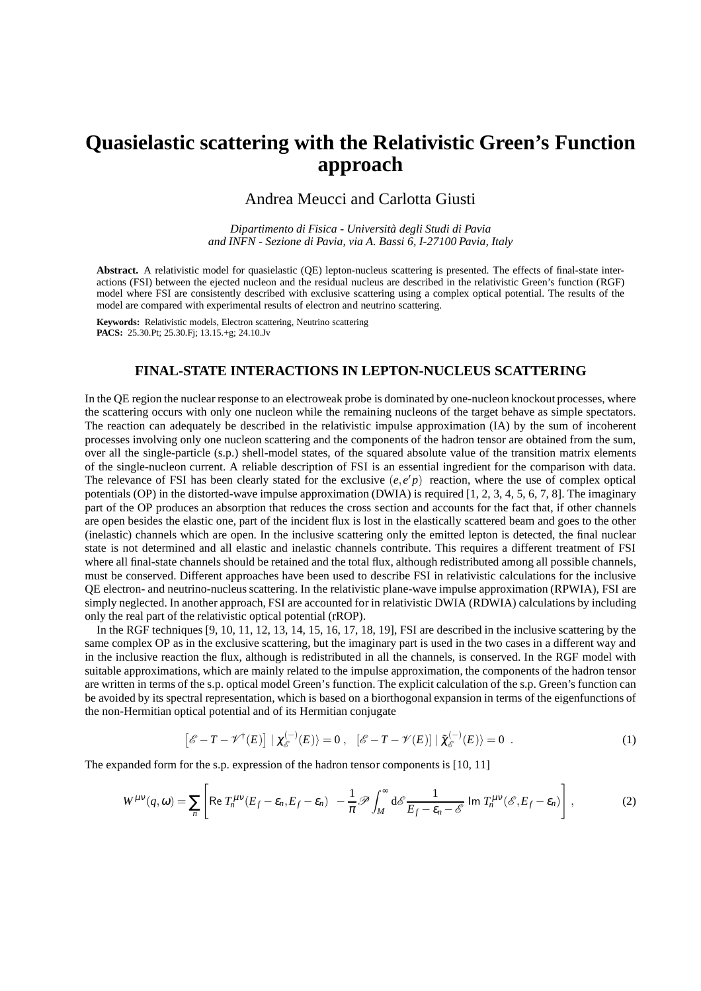# **Quasielastic scattering with the Relativistic Green's Function approach**

## Andrea Meucci and Carlotta Giusti

*Dipartimento di Fisica - Università degli Studi di Pavia and INFN - Sezione di Pavia, via A. Bassi 6, I-27100 Pavia, Italy*

**Abstract.** A relativistic model for quasielastic (QE) lepton-nucleus scattering is presented. The effects of final-state interactions (FSI) between the ejected nucleon and the residual nucleus are described in the relativistic Green's function (RGF) model where FSI are consistently described with exclusive scattering using a complex optical potential. The results of the model are compared with experimental results of electron and neutrino scattering.

**Keywords:** Relativistic models, Electron scattering, Neutrino scattering **PACS:** 25.30.Pt; 25.30.Fj; 13.15.+g; 24.10.Jv

### **FINAL-STATE INTERACTIONS IN LEPTON-NUCLEUS SCATTERING**

In the QE region the nuclear response to an electroweak probe is dominated by one-nucleon knockout processes, where the scattering occurs with only one nucleon while the remaining nucleons of the target behave as simple spectators. The reaction can adequately be described in the relativistic impulse approximation (IA) by the sum of incoherent processes involving only one nucleon scattering and the components of the hadron tensor are obtained from the sum, over all the single-particle (s.p.) shell-model states, of the squared absolute value of the transition matrix elements of the single-nucleon current. A reliable description of FSI is an essential ingredient for the comparison with data. The relevance of FSI has been clearly stated for the exclusive  $(e, e'p)$  reaction, where the use of complex optical potentials (OP) in the distorted-wave impulse approximation (DWIA) is required [1, 2, 3, 4, 5, 6, 7, 8]. The imaginary part of the OP produces an absorption that reduces the cross section and accounts for the fact that, if other channels are open besides the elastic one, part of the incident flux is lost in the elastically scattered beam and goes to the other (inelastic) channels which are open. In the inclusive scattering only the emitted lepton is detected, the final nuclear state is not determined and all elastic and inelastic channels contribute. This requires a different treatment of FSI where all final-state channels should be retained and the total flux, although redistributed among all possible channels, must be conserved. Different approaches have been used to describe FSI in relativistic calculations for the inclusive QE electron- and neutrino-nucleus scattering. In the relativistic plane-wave impulse approximation (RPWIA), FSI are simply neglected. In another approach, FSI are accounted for in relativistic DWIA (RDWIA) calculations by including only the real part of the relativistic optical potential (rROP).

In the RGF techniques [9, 10, 11, 12, 13, 14, 15, 16, 17, 18, 19], FSI are described in the inclusive scattering by the same complex OP as in the exclusive scattering, but the imaginary part is used in the two cases in a different way and in the inclusive reaction the flux, although is redistributed in all the channels, is conserved. In the RGF model with suitable approximations, which are mainly related to the impulse approximation, the components of the hadron tensor are written in terms of the s.p. optical model Green's function. The explicit calculation of the s.p. Green's function can be avoided by its spectral representation, which is based on a biorthogonal expansion in terms of the eigenfunctions of the non-Hermitian optical potential and of its Hermitian conjugate

$$
\left[\mathscr{E} - T - \mathscr{V}^{\dagger}(E)\right] | \chi_{\mathscr{E}}^{(-)}(E)\rangle = 0 , \quad \left[\mathscr{E} - T - \mathscr{V}(E)\right] | \tilde{\chi}_{\mathscr{E}}^{(-)}(E)\rangle = 0 . \tag{1}
$$

The expanded form for the s.p. expression of the hadron tensor components is [10, 11]

$$
W^{\mu\nu}(q,\omega) = \sum_{n} \left[ \text{Re } T_n^{\mu\nu}(E_f - \varepsilon_n, E_f - \varepsilon_n) - \frac{1}{\pi} \mathcal{P} \int_M^{\infty} d\mathcal{E} \frac{1}{E_f - \varepsilon_n - \mathcal{E}} \text{ Im } T_n^{\mu\nu}(\mathcal{E}, E_f - \varepsilon_n) \right],
$$
 (2)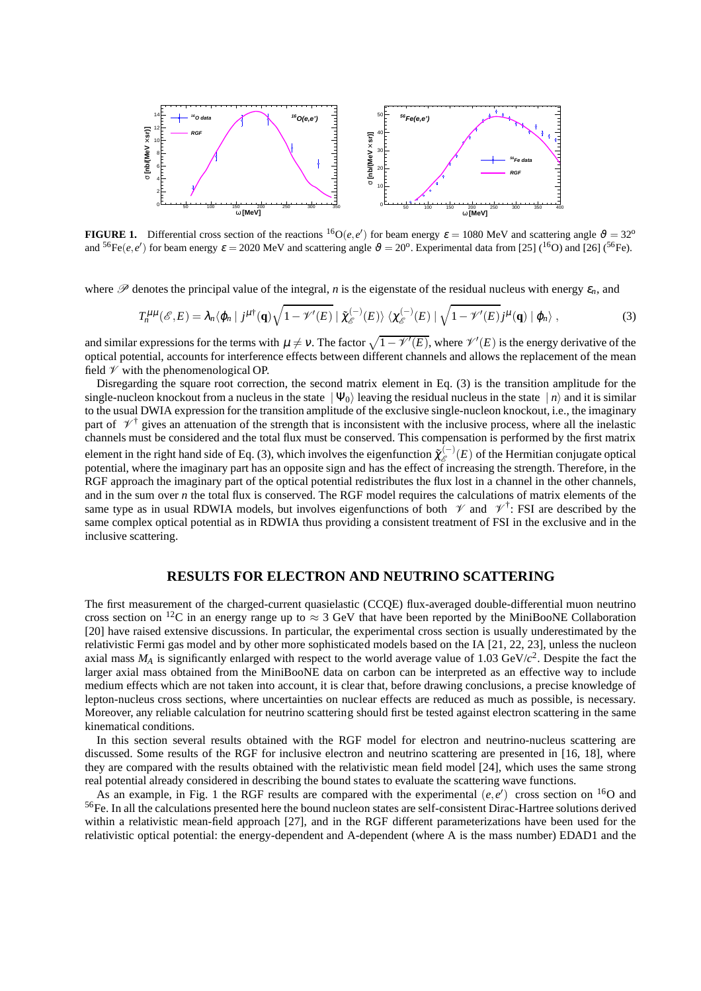

**FIGURE 1.** Differential cross section of the reactions  ${}^{16}O(e,e')$  for beam energy  $\varepsilon = 1080$  MeV and scattering angle  $\vartheta = 32^{\circ}$ and <sup>56</sup>Fe(*e*,*e'*) for beam energy  $\varepsilon = 2020$  MeV and scattering angle  $\vartheta = 20^{\circ}$ . Experimental data from [25] (<sup>16</sup>O) and [26] (<sup>56</sup>Fe).

where  $\mathscr P$  denotes the principal value of the integral, *n* is the eigenstate of the residual nucleus with energy  $\varepsilon_n$ , and

$$
T_n^{\mu\mu}(\mathscr{E},E) = \lambda_n \langle \varphi_n | j^{\mu\dagger}(\mathbf{q}) \sqrt{1 - \mathscr{V}'(E)} | \tilde{\chi}_{\mathscr{E}}^{(-)}(E) \rangle \langle \chi_{\mathscr{E}}^{(-)}(E) | \sqrt{1 - \mathscr{V}'(E)} j^{\mu}(\mathbf{q}) | \varphi_n \rangle , \qquad (3)
$$

and similar expressions for the terms with  $\mu \neq v$ . The factor  $\sqrt{1-\mathcal{V}'(E)}$ , where  $\mathcal{V}'(E)$  is the energy derivative of the optical potential, accounts for interference effects between different channels and allows the replacement of the mean field  $\mathcal V$  with the phenomenological OP.

Disregarding the square root correction, the second matrix element in Eq. (3) is the transition amplitude for the single-nucleon knockout from a nucleus in the state  $|\Psi_0\rangle$  leaving the residual nucleus in the state  $|n\rangle$  and it is similar to the usual DWIA expression for the transition amplitude of the exclusive single-nucleon knockout, i.e., the imaginary part of  $\mathscr{V}^{\dagger}$  gives an attenuation of the strength that is inconsistent with the inclusive process, where all the inelastic channels must be considered and the total flux must be conserved. This compensation is performed by the first matrix element in the right hand side of Eq. (3), which involves the eigenfunction  $\tilde{\chi}^{(-)}_\mathscr{E}(E)$  of the Hermitian conjugate optical potential, where the imaginary part has an opposite sign and has the effect of increasing the strength. Therefore, in the RGF approach the imaginary part of the optical potential redistributes the flux lost in a channel in the other channels, and in the sum over *n* the total flux is conserved. The RGF model requires the calculations of matrix elements of the same type as in usual RDWIA models, but involves eigenfunctions of both  $\mathcal V$  and  $\mathcal V^{\dagger}$ : FSI are described by the same complex optical potential as in RDWIA thus providing a consistent treatment of FSI in the exclusive and in the inclusive scattering.

#### **RESULTS FOR ELECTRON AND NEUTRINO SCATTERING**

The first measurement of the charged-current quasielastic (CCQE) flux-averaged double-differential muon neutrino cross section on <sup>12</sup>C in an energy range up to  $\approx 3$  GeV that have been reported by the MiniBooNE Collaboration [20] have raised extensive discussions. In particular, the experimental cross section is usually underestimated by the relativistic Fermi gas model and by other more sophisticated models based on the IA [21, 22, 23], unless the nucleon axial mass  $M_A$  is significantly enlarged with respect to the world average value of 1.03 GeV/ $c^2$ . Despite the fact the larger axial mass obtained from the MiniBooNE data on carbon can be interpreted as an effective way to include medium effects which are not taken into account, it is clear that, before drawing conclusions, a precise knowledge of lepton-nucleus cross sections, where uncertainties on nuclear effects are reduced as much as possible, is necessary. Moreover, any reliable calculation for neutrino scattering should first be tested against electron scattering in the same kinematical conditions.

In this section several results obtained with the RGF model for electron and neutrino-nucleus scattering are discussed. Some results of the RGF for inclusive electron and neutrino scattering are presented in [16, 18], where they are compared with the results obtained with the relativistic mean field model [24], which uses the same strong real potential already considered in describing the bound states to evaluate the scattering wave functions.

As an example, in Fig. 1 the RGF results are compared with the experimental  $(e, e')$  cross section on <sup>16</sup>O and <sup>56</sup>Fe. In all the calculations presented here the bound nucleon states are self-consistent Dirac-Hartree solutions derived within a relativistic mean-field approach [27], and in the RGF different parameterizations have been used for the relativistic optical potential: the energy-dependent and A-dependent (where A is the mass number) EDAD1 and the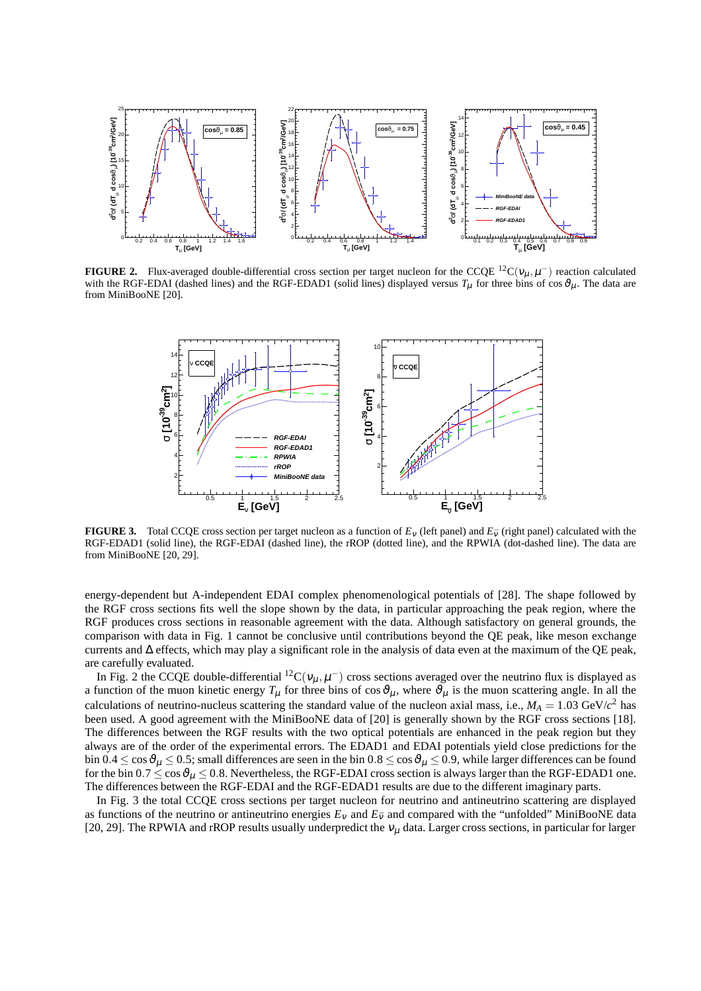

**FIGURE 2.** Flux-averaged double-differential cross section per target nucleon for the CCQE <sup>12</sup>C( $v_\mu$ ,  $\mu^-$ ) reaction calculated with the RGF-EDAI (dashed lines) and the RGF-EDAD1 (solid lines) displayed versus  $T_{\mu}$  for three bins of cos  $\vartheta_{\mu}$ . The data are from MiniBooNE [20].



**FIGURE 3.** Total CCQE cross section per target nucleon as a function of  $E_V$  (left panel) and  $E_V$  (right panel) calculated with the RGF-EDAD1 (solid line), the RGF-EDAI (dashed line), the rROP (dotted line), and the RPWIA (dot-dashed line). The data are from MiniBooNE [20, 29].

energy-dependent but A-independent EDAI complex phenomenological potentials of [28]. The shape followed by the RGF cross sections fits well the slope shown by the data, in particular approaching the peak region, where the RGF produces cross sections in reasonable agreement with the data. Although satisfactory on general grounds, the comparison with data in Fig. 1 cannot be conclusive until contributions beyond the QE peak, like meson exchange currents and ∆ effects, which may play a significant role in the analysis of data even at the maximum of the QE peak, are carefully evaluated.

In Fig. 2 the CCQE double-differential <sup>12</sup>C( $v_{\mu}, \mu^{-}$ ) cross sections averaged over the neutrino flux is displayed as a function of the muon kinetic energy  $T_{\mu}$  for three bins of cos  $\vartheta_{\mu}$ , where  $\vartheta_{\mu}$  is the muon scattering angle. In all the calculations of neutrino-nucleus scattering the standard value of the nucleon axial mass, i.e.,  $M_A = 1.03 \text{ GeV}/c^2$  has been used. A good agreement with the MiniBooNE data of [20] is generally shown by the RGF cross sections [18]. The differences between the RGF results with the two optical potentials are enhanced in the peak region but they always are of the order of the experimental errors. The EDAD1 and EDAI potentials yield close predictions for the bin  $0.4 \le \cos \vartheta_\mu \le 0.5$ ; small differences are seen in the bin  $0.8 \le \cos \vartheta_\mu \le 0.9$ , while larger differences can be found for the bin  $0.7 \le \cos \vartheta_\mu \le 0.8$ . Nevertheless, the RGF-EDAI cross section is always larger than the RGF-EDAD1 one. The differences between the RGF-EDAI and the RGF-EDAD1 results are due to the different imaginary parts.

In Fig. 3 the total CCQE cross sections per target nucleon for neutrino and antineutrino scattering are displayed as functions of the neutrino or antineutrino energies  $E_v$  and  $E_{\bar{v}}$  and compared with the "unfolded" MiniBooNE data [20, 29]. The RPWIA and rROP results usually underpredict the  $v_\mu$  data. Larger cross sections, in particular for larger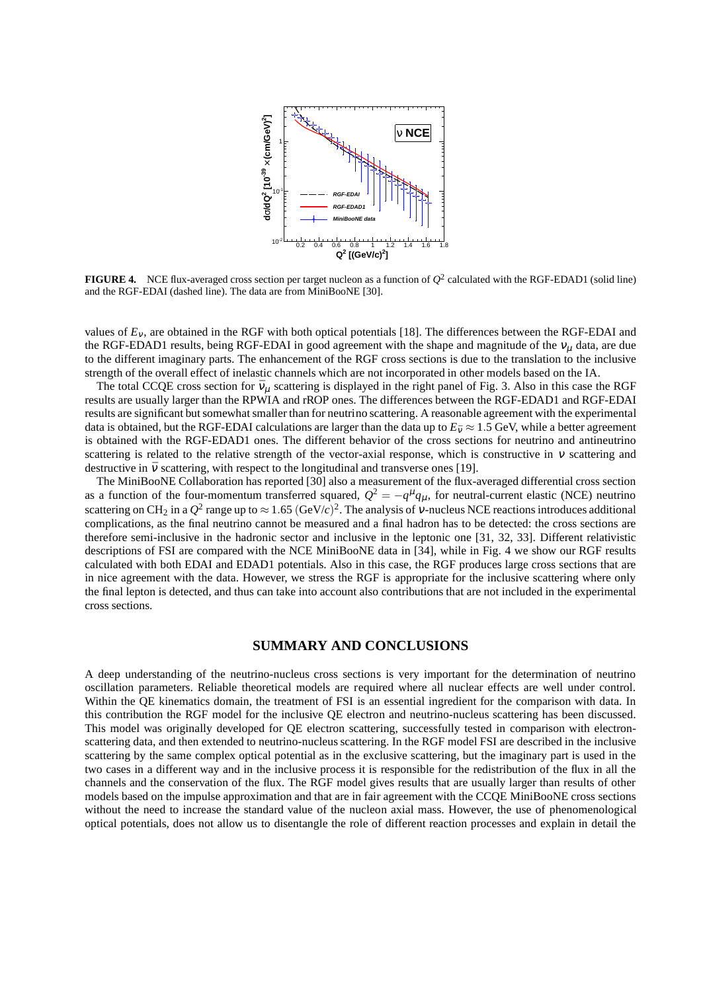

**FIGURE 4.** NCE flux-averaged cross section per target nucleon as a function of  $Q^2$  calculated with the RGF-EDAD1 (solid line) and the RGF-EDAI (dashed line). The data are from MiniBooNE [30].

values of  $E_v$ , are obtained in the RGF with both optical potentials [18]. The differences between the RGF-EDAI and the RGF-EDAD1 results, being RGF-EDAI in good agreement with the shape and magnitude of the  $v<sub>u</sub>$  data, are due to the different imaginary parts. The enhancement of the RGF cross sections is due to the translation to the inclusive strength of the overall effect of inelastic channels which are not incorporated in other models based on the IA.

The total CCQE cross section for  $\bar{v}_{\mu}$  scattering is displayed in the right panel of Fig. 3. Also in this case the RGF results are usually larger than the RPWIA and rROP ones. The differences between the RGF-EDAD1 and RGF-EDAI results are significant but somewhat smaller than for neutrino scattering. A reasonable agreement with the experimental data is obtained, but the RGF-EDAI calculations are larger than the data up to  $E_{\bar{v}} \approx 1.5$  GeV, while a better agreement is obtained with the RGF-EDAD1 ones. The different behavior of the cross sections for neutrino and antineutrino scattering is related to the relative strength of the vector-axial response, which is constructive in  $v$  scattering and destructive in  $\bar{v}$  scattering, with respect to the longitudinal and transverse ones [19].

The MiniBooNE Collaboration has reported [30] also a measurement of the flux-averaged differential cross section as a function of the four-momentum transferred squared,  $Q^2 = -q^{\mu}q_{\mu}$ , for neutral-current elastic (NCE) neutrino scattering on CH<sub>2</sub> in a  $Q^2$  range up to  $\approx 1.65$  (GeV/*c*)<sup>2</sup>. The analysis of v-nucleus NCE reactions introduces additional complications, as the final neutrino cannot be measured and a final hadron has to be detected: the cross sections are therefore semi-inclusive in the hadronic sector and inclusive in the leptonic one [31, 32, 33]. Different relativistic descriptions of FSI are compared with the NCE MiniBooNE data in [34], while in Fig. 4 we show our RGF results calculated with both EDAI and EDAD1 potentials. Also in this case, the RGF produces large cross sections that are in nice agreement with the data. However, we stress the RGF is appropriate for the inclusive scattering where only the final lepton is detected, and thus can take into account also contributions that are not included in the experimental cross sections.

#### **SUMMARY AND CONCLUSIONS**

A deep understanding of the neutrino-nucleus cross sections is very important for the determination of neutrino oscillation parameters. Reliable theoretical models are required where all nuclear effects are well under control. Within the QE kinematics domain, the treatment of FSI is an essential ingredient for the comparison with data. In this contribution the RGF model for the inclusive QE electron and neutrino-nucleus scattering has been discussed. This model was originally developed for QE electron scattering, successfully tested in comparison with electronscattering data, and then extended to neutrino-nucleus scattering. In the RGF model FSI are described in the inclusive scattering by the same complex optical potential as in the exclusive scattering, but the imaginary part is used in the two cases in a different way and in the inclusive process it is responsible for the redistribution of the flux in all the channels and the conservation of the flux. The RGF model gives results that are usually larger than results of other models based on the impulse approximation and that are in fair agreement with the CCQE MiniBooNE cross sections without the need to increase the standard value of the nucleon axial mass. However, the use of phenomenological optical potentials, does not allow us to disentangle the role of different reaction processes and explain in detail the